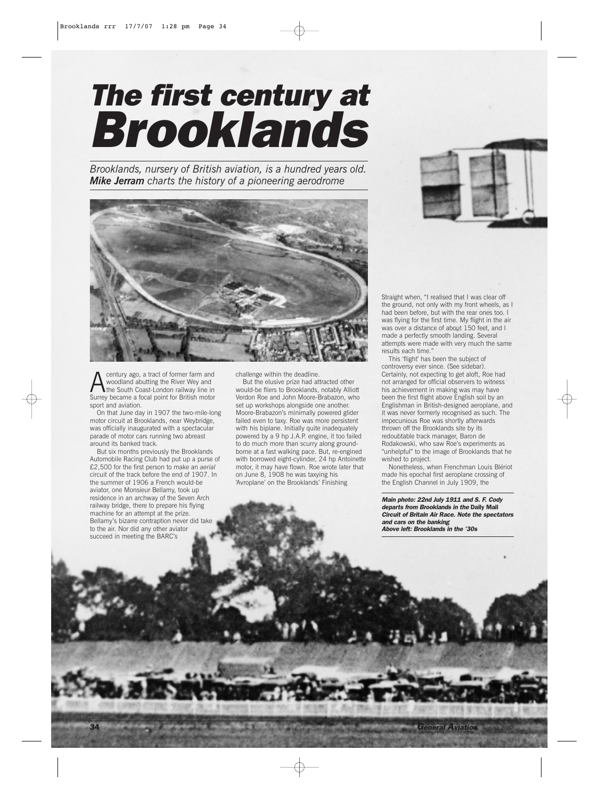## *The first century at Brooklands*

*Brooklands, nursery of British aviation, is a hundred years old. Mike Jerram charts the history of a pioneering aerodrome*



century ago, a tract of former farm and woodland abutting the River Wey and **the South Coast-London railway line in** Surrey became a focal point for British motor sport and aviation.

On that June day in 1907 the two-mile-long motor circuit at Brooklands, near Weybridge, was officially inaugurated with a spectacular parade of motor cars running two abreast around its banked track.

But six months previously the Brooklands Automobile Racing Club had put up a purse of £2,500 for the first person to make an *aerial* circuit of the track before the end of 1907. In the summer of 1906 a French would-be aviator, one Monsieur Bellamy, took up residence in an archway of the Seven Arch railway bridge, there to prepare his flying machine for an attempt at the prize. Bellamy's bizarre contraption never did tak to the air. Nor did any other aviator succeed in meeting the BARC's

challenge within the deadline.

But the elusive prize had attracted other would-be fliers to Brooklands, notably Alliott Verdon Roe and John Moore-Brabazon, who set up workshops alongside one another. Moore-Brabazon's minimally powered glider failed even to taxy. Roe was more persistent with his biplane. Initially quite inadequately powered by a 9 hp J.A.P. engine, it too failed to do much more than scurry along groundborne at a fast walking pace. But, re-engined with borrowed eight-cylinder, 24 hp Antoinette motor, it may have flown. Roe wrote later that on June 8, 1908 he was taxying his 'Avroplane' on the Brooklands' Finishing



Straight when, "I realised that I was clear off the ground, not only with my front wheels, as I had been before, but with the rear ones too. I was flying for the first time. My flight in the air was over a distance of about 150 feet, and I made a perfectly smooth landing. Several attempts were made with very much the same results each time."

This 'flight' has been the subject of controversy ever since. (See sidebar). Certainly, not expecting to get aloft, Roe had not arranged for official observers to witness his achievement in making was may have been the first flight above English soil by an Englishman in British-designed aeroplane, and it was never formerly recognised as such. The impecunious Roe was shortly afterwards thrown off the Brooklands site by its redoubtable track manager, Baron de Rodakowski, who saw Roe's experiments as "unhelpful" to the image of Brooklands that he wished to project.

Nonetheless, when Frenchman Louis Blériot made his epochal first aeroplane crossing of the English Channel in July 1909, the

*Main photo: 22nd July 1911 and S. F. Cody departs from Brooklands in the* Daily Mail *Circuit of Britain Air Race. Note the spectators and cars on the banking Above left: Brooklands in the '30s*

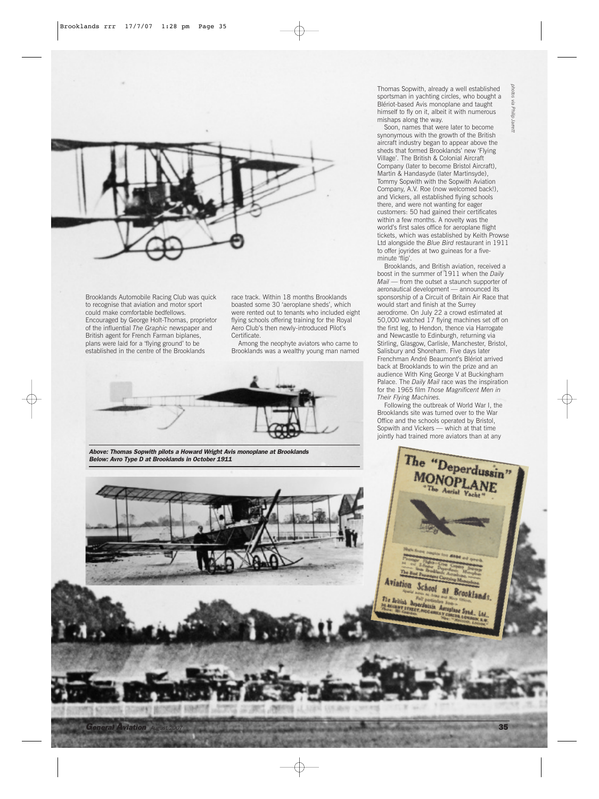

Brooklands Automobile Racing Club was quick to recognise that aviation and motor sport could make comfortable bedfellows. Encouraged by George Holt-Thomas, proprietor of the influential *The Graphic* newspaper and British agent for French Farman biplanes, plans were laid for a 'flying ground' to be established in the centre of the Brooklands

race track. Within 18 months Brooklands boasted some 30 'aeroplane sheds', which were rented out to tenants who included eight flying schools offering training for the Royal Aero Club's then newly-introduced Pilot's Certificate.

Among the neophyte aviators who came to Brooklands was a wealthy young man named



*Above: Thomas Sopwith pilots a Howard Wright Avis monoplane at Brooklands Below: Avro Type D at Brooklands in October 1911*

Thomas Sopwith, already a well established sportsman in yachting circles, who bought a Blériot-based Avis monoplane and taught himself to fly on it, albeit it with numerous mishaps along the way.

*photos via Philip Jarrett* via Philip larrett

Soon, names that were later to become synonymous with the growth of the British aircraft industry began to appear above the sheds that formed Brooklands' new 'Flying Village'. The British & Colonial Aircraft Company (later to become Bristol Aircraft), Martin & Handasyde (later Martinsyde), Tommy Sopwith with the Sopwith Aviation Company, A.V. Roe (now welcomed back!), and Vickers, all established flying schools there, and were not wanting for eager customers: 50 had gained their certificates within a few months. A novelty was the world's first sales office for aeroplane flight tickets, which was established by Keith Prowse Ltd alongside the *Blue Bird* restaurant in 1911 to offer joyrides at two guineas for a fiveminute 'flip'.

Brooklands, and British aviation, received a boost in the summer of 1911 when the *Daily Mail* — from the outset a staunch supporter of aeronautical development — announced its sponsorship of a Circuit of Britain Air Race that would start and finish at the Surrey aerodrome. On July 22 a crowd estimated at 50,000 watched 17 flying machines set off on the first leg, to Hendon, thence via Harrogate and Newcastle to Edinburgh, returning via Stirling, Glasgow, Carlisle, Manchester, Bristol, Salisbury and Shoreham. Five days later Frenchman André Beaumont's Blériot arrived back at Brooklands to win the prize and an audience With King George V at Buckingham Palace. The *Daily Mail* race was the inspiration for the 1965 film *Those Magnificent Men in Their Flying Machines.*

Following the outbreak of World War I, the Brooklands site was turned over to the War Office and the schools operated by Bristol, Sopwith and Vickers — which at that time jointly had trained more aviators than at any

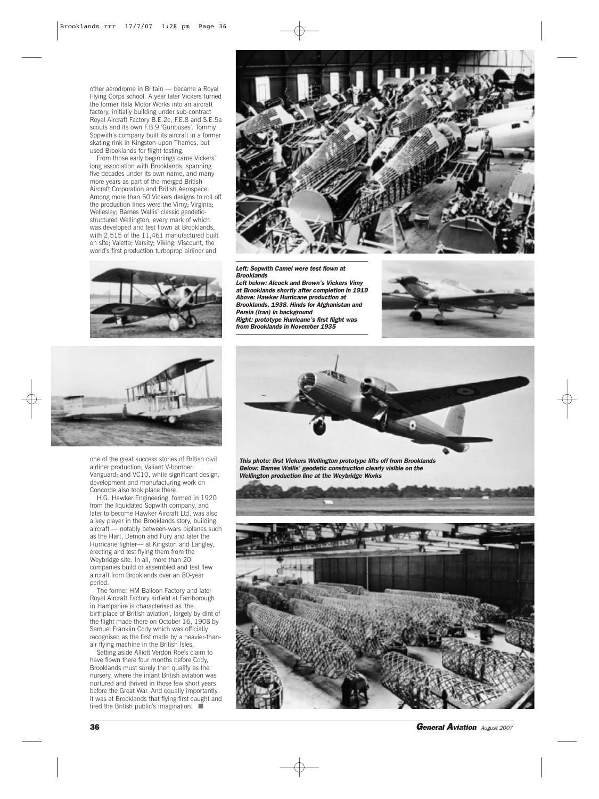other aerodrome in Britain — became a Royal Flying Corps school. A year later Vickers turned the former Itala Motor Works into an aircraft factory, initially building under sub-contract Royal Aircraft Factory B.E.2c, F.E.8 and S.E.5a scouts and its own F.B.9 'Gunbuses'. Tommy Sopwith's company built its aircraft in a former skating rink in Kingston-upon-Thames, but used Brooklands for flight-testing.

From those early beginnings came Vickers' long association with Brooklands, spanning five decades under its own name, and many more years as part of the merged British Aircraft Corporation and British Aerospace. Among more than 50 Vickers designs to roll off the production lines were the Vimy; Virginia; Wellesley; Barnes Wallis' classic geodeticstructured Wellington, every mark of which was developed and test flown at Brooklands, with 2,515 of the 11,461 manufactured built on site; Valetta; Varsity; Viking; Viscount, the world's first production turboprop airliner and











one of the great success stories of British civil airliner production; Valiant V-bomber; Vanguard; and VC10, while significant design, development and manufacturing work on Concorde also took place there.

H.G. Hawker Engineering, formed in 1920 from the liquidated Sopwith company, and later to become Hawker Aircraft Ltd, was also a key player in the Brooklands story, building aircraft — notably between-wars biplanes such as the Hart, Demon and Fury and later the Hurricane fighter— at Kingston and Langley, erecting and test flying them from the Weybridge site. In all, more than 20 companies build or assembled and test flew aircraft from Brooklands over an 80-year period.

The former HM Balloon Factory and later Royal Aircraft Factory airfield at Farnborough in Hampshire is characterised as 'the birthplace of British aviation', largely by dint of the flight made there on October 16, 1908 by Samuel Franklin Cody which was officially recognised as the first made by a heavier-thanair flying machine in the British Isles.

Setting aside Alliott Verdon Roe's claim to have flown there four months before Cody, Brooklands must surely then qualify as the nursery, where the infant British aviation was nurtured and thrived in those few short years before the Great War. And equally importantly, it was at Brooklands that flying first caught and fired the British public's imagination. ■



*This photo: first Vickers Wellington prototype lifts off from Brooklands Below: Barnes Wallis' geodetic construction clearly visible on the Wellington production line at the Weybridge Works* 



36 *General Aviation August 2007*